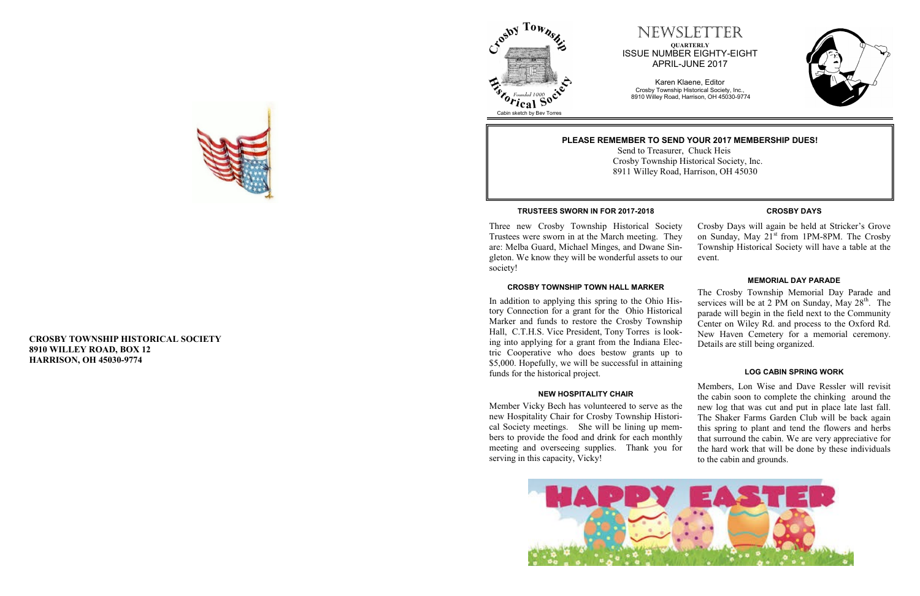#### **CROSBY TOWNSHIP HISTORICAL SOCIETY 8910 WILLEY ROAD, BOX 12 HARRISON, OH 45030 -9774**

### NEWSLETTER **QUARTERLY** ISSUE NUMBER EIGHTY -EIGHT APRIL -JUNE 2017

Karen Klaene, Editor Crosby Township Historical Society, Inc., 8910 Willey Road, Harrison, OH 45030 -9774







#### **PLEASE REMEMBER TO SEND YOUR 2017 MEMBERSHIP DUES!**

 Send to Treasurer, Chuck Heis Crosby Township Historical Society, Inc. 8911 Willey Road, Harrison, OH 45030

#### **TRUSTEES SWORN IN FOR 2017 -2018**

#### **CROSBY TOWNSHIP TOWN HALL MARKER**

Three new Crosby Township Historical Society Trustees were sworn in at the March meeting. They are: Melba Guard, Michael Minges, and Dwane Singleton. We know they will be wonderful assets to our society! Crosby Days will again be held at Stricker's Grove on Sunday, May 21<sup>st</sup> from 1PM-8PM. The Crosby Township Historical Society will have a table at the event.

In addition to applying this spring to the Ohio History Connection for a grant for the Ohio Historical Marker and funds to restore the Crosby Township Hall, C.T.H.S. Vice President, Tony Torres is look ing into applying for a grant from the Indiana Electric Cooperative who does bestow grants up \$5,000. Hopefully, we will be successful in attaining funds for the historical project.

#### **CROSBY DAYS**

| $S-$<br>al | The Crosby Township Memorial Day Parade and<br>services will be at 2 PM on Sunday, May 28 <sup>th</sup> . The<br>parade will begin in the field next to the Community |
|------------|-----------------------------------------------------------------------------------------------------------------------------------------------------------------------|
| ip<br>k-   | Center on Wiley Rd. and process to the Oxford Rd.                                                                                                                     |
|            | New Haven Cemetery for a memorial ceremony.                                                                                                                           |
| $c-$       | Details are still being organized.                                                                                                                                    |
| to         |                                                                                                                                                                       |
| ig         |                                                                                                                                                                       |
|            | <b>LOG CABIN SPRING WORK</b>                                                                                                                                          |
|            |                                                                                                                                                                       |

Members, Lon Wise and Dave Ressler will revisit the cabin soon to complete the chinking around the new log that was cut and put in place late last fall. The Shaker Farms Garden Club will be back again this spring to plant and tend the flowers and herbs that surround the cabin. We are very appreciative for the hard work that will be done by these individuals to the cabin and grounds. **NEW HOSPITALITY CHAIR** Member Vicky Bech has volunteered to serve as the new Hospitality Chair for Crosby Township Historical Society meetings. She will be lining up members to provide the food and drink for each monthly meeting and overseeing supplies. Thank you for serving in this capacity, Vicky!





#### **MEMORIAL DAY PARADE**